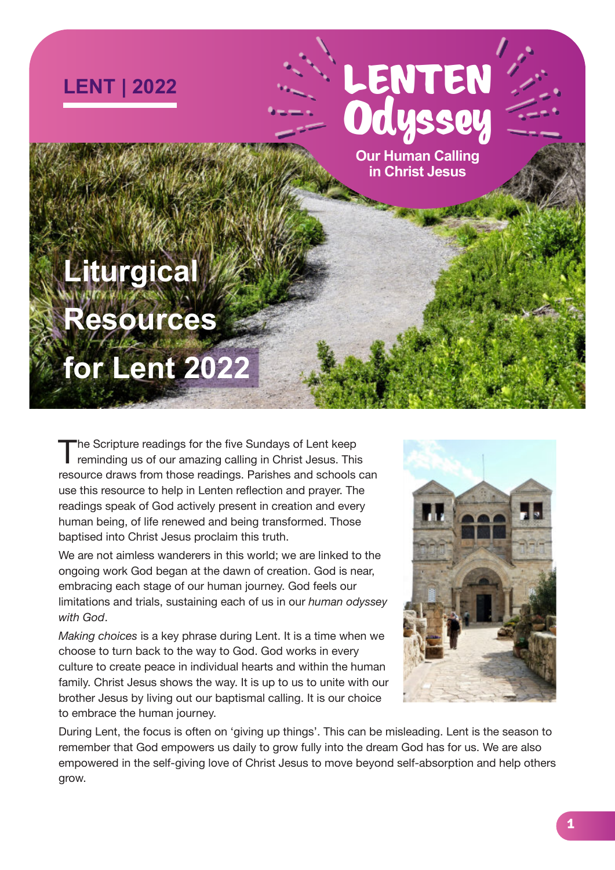

# LENTEN **Odyssey**

**Our Human Calling in Christ Jesus**

# **Liturgical**

# **Resources**

# **for Lent 2022**

The Scripture readings for the five Sundays of Lent keep<br>reminding us of our amazing calling in Christ Jesus. This he Scripture readings for the five Sundays of Lent keep resource draws from those readings. Parishes and schools can use this resource to help in Lenten reflection and prayer. The readings speak of God actively present in creation and every human being, of life renewed and being transformed. Those baptised into Christ Jesus proclaim this truth.

We are not aimless wanderers in this world; we are linked to the ongoing work God began at the dawn of creation. God is near, embracing each stage of our human journey. God feels our limitations and trials, sustaining each of us in our *human odyssey with God*.

*Making choices* is a key phrase during Lent. It is a time when we choose to turn back to the way to God. God works in every culture to create peace in individual hearts and within the human family. Christ Jesus shows the way. It is up to us to unite with our brother Jesus by living out our baptismal calling. It is our choice to embrace the human journey.



During Lent, the focus is often on 'giving up things'. This can be misleading. Lent is the season to remember that God empowers us daily to grow fully into the dream God has for us. We are also empowered in the self-giving love of Christ Jesus to move beyond self-absorption and help others grow.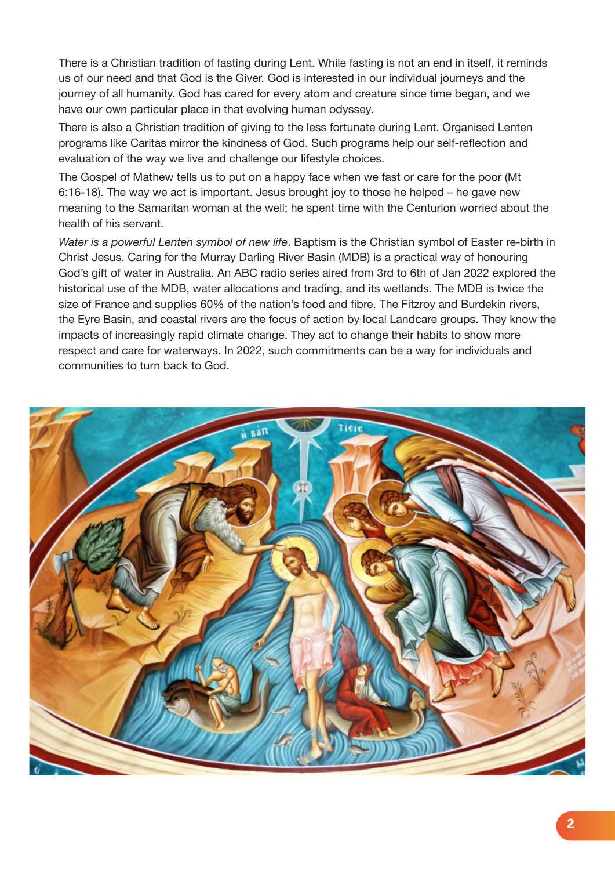There is a Christian tradition of fasting during Lent. While fasting is not an end in itself, it reminds us of our need and that God is the Giver. God is interested in our individual journeys and the journey of all humanity. God has cared for every atom and creature since time began, and we have our own particular place in that evolving human odyssey.

There is also a Christian tradition of giving to the less fortunate during Lent. Organised Lenten programs like Caritas mirror the kindness of God. Such programs help our self-reflection and evaluation of the way we live and challenge our lifestyle choices.

The Gospel of Mathew tells us to put on a happy face when we fast or care for the poor (Mt 6:16-18). The way we act is important. Jesus brought joy to those he helped – he gave new meaning to the Samaritan woman at the well; he spent time with the Centurion worried about the health of his servant.

*Water is a powerful Lenten symbol of new life*. Baptism is the Christian symbol of Easter re-birth in Christ Jesus. Caring for the Murray Darling River Basin (MDB) is a practical way of honouring God's gift of water in Australia. An ABC radio series aired from 3rd to 6th of Jan 2022 explored the historical use of the MDB, water allocations and trading, and its wetlands. The MDB is twice the size of France and supplies 60% of the nation's food and fibre. The Fitzroy and Burdekin rivers, the Eyre Basin, and coastal rivers are the focus of action by local Landcare groups. They know the impacts of increasingly rapid climate change. They act to change their habits to show more respect and care for waterways. In 2022, such commitments can be a way for individuals and communities to turn back to God.

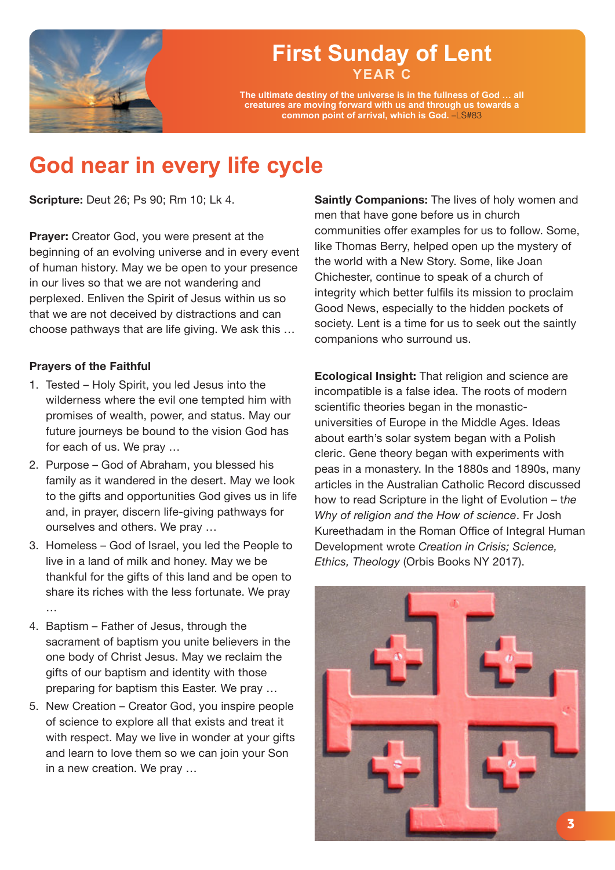

### **YEAR C First Sunday of Lent**

**The ultimate destiny of the universe is in the fullness of God … all creatures are moving forward with us and through us towards a common point of arrival, which is God.** –LS#83

## **God near in every life cycle**

**Scripture:** Deut 26; Ps 90; Rm 10; Lk 4.

**Prayer:** Creator God, you were present at the beginning of an evolving universe and in every event of human history. May we be open to your presence in our lives so that we are not wandering and perplexed. Enliven the Spirit of Jesus within us so that we are not deceived by distractions and can choose pathways that are life giving. We ask this …

#### **Prayers of the Faithful**

- 1. Tested Holy Spirit, you led Jesus into the wilderness where the evil one tempted him with promises of wealth, power, and status. May our future journeys be bound to the vision God has for each of us. We pray …
- 2. Purpose God of Abraham, you blessed his family as it wandered in the desert. May we look to the gifts and opportunities God gives us in life and, in prayer, discern life-giving pathways for ourselves and others. We pray …
- 3. Homeless God of Israel, you led the People to live in a land of milk and honey. May we be thankful for the gifts of this land and be open to share its riches with the less fortunate. We pray …
- 4. Baptism Father of Jesus, through the sacrament of baptism you unite believers in the one body of Christ Jesus. May we reclaim the gifts of our baptism and identity with those preparing for baptism this Easter. We pray …
- 5. New Creation Creator God, you inspire people of science to explore all that exists and treat it with respect. May we live in wonder at your gifts and learn to love them so we can join your Son in a new creation. We pray …

**Saintly Companions:** The lives of holy women and men that have gone before us in church communities offer examples for us to follow. Some, like Thomas Berry, helped open up the mystery of the world with a New Story. Some, like Joan Chichester, continue to speak of a church of integrity which better fulfils its mission to proclaim Good News, especially to the hidden pockets of society. Lent is a time for us to seek out the saintly companions who surround us.

**Ecological Insight:** That religion and science are incompatible is a false idea. The roots of modern scientific theories began in the monasticuniversities of Europe in the Middle Ages. Ideas about earth's solar system began with a Polish cleric. Gene theory began with experiments with peas in a monastery. In the 1880s and 1890s, many articles in the Australian Catholic Record discussed how to read Scripture in the light of Evolution – t*he Why of religion and the How of science*. Fr Josh Kureethadam in the Roman Office of Integral Human Development wrote *Creation in Crisis; Science, Ethics, Theology* (Orbis Books NY 2017).

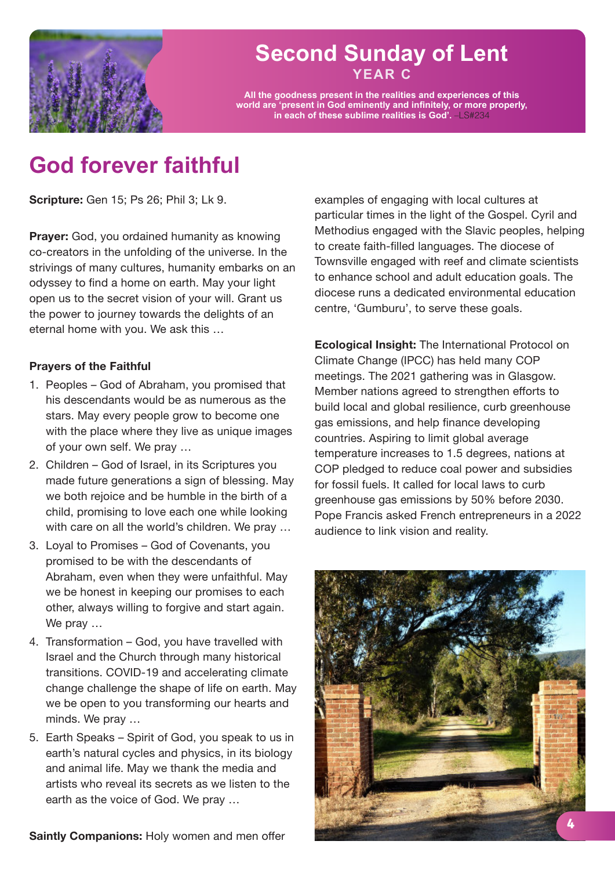

#### **YEAR C Second Sunday of Lent**

**All the goodness present in the realities and experiences of this world are 'present in God eminently and infinitely, or more properly, in each of these sublime realities is God'.** –LS#234

## **God forever faithful**

**Scripture:** Gen 15; Ps 26; Phil 3; Lk 9.

**Prayer:** God, you ordained humanity as knowing co-creators in the unfolding of the universe. In the strivings of many cultures, humanity embarks on an odyssey to find a home on earth. May your light open us to the secret vision of your will. Grant us the power to journey towards the delights of an eternal home with you. We ask this …

#### **Prayers of the Faithful**

- 1. Peoples God of Abraham, you promised that his descendants would be as numerous as the stars. May every people grow to become one with the place where they live as unique images of your own self. We pray …
- 2. Children God of Israel, in its Scriptures you made future generations a sign of blessing. May we both rejoice and be humble in the birth of a child, promising to love each one while looking with care on all the world's children. We pray ...
- 3. Loyal to Promises God of Covenants, you promised to be with the descendants of Abraham, even when they were unfaithful. May we be honest in keeping our promises to each other, always willing to forgive and start again. We pray …
- 4. Transformation God, you have travelled with Israel and the Church through many historical transitions. COVID-19 and accelerating climate change challenge the shape of life on earth. May we be open to you transforming our hearts and minds. We pray …
- 5. Earth Speaks Spirit of God, you speak to us in earth's natural cycles and physics, in its biology and animal life. May we thank the media and artists who reveal its secrets as we listen to the earth as the voice of God. We pray …

**Saintly Companions:** Holy women and men offer

examples of engaging with local cultures at particular times in the light of the Gospel. Cyril and Methodius engaged with the Slavic peoples, helping to create faith-filled languages. The diocese of Townsville engaged with reef and climate scientists to enhance school and adult education goals. The diocese runs a dedicated environmental education centre, 'Gumburu', to serve these goals.

**Ecological Insight:** The International Protocol on Climate Change (IPCC) has held many COP meetings. The 2021 gathering was in Glasgow. Member nations agreed to strengthen efforts to build local and global resilience, curb greenhouse gas emissions, and help finance developing countries. Aspiring to limit global average temperature increases to 1.5 degrees, nations at COP pledged to reduce coal power and subsidies for fossil fuels. It called for local laws to curb greenhouse gas emissions by 50% before 2030. Pope Francis asked French entrepreneurs in a 2022 audience to link vision and reality.

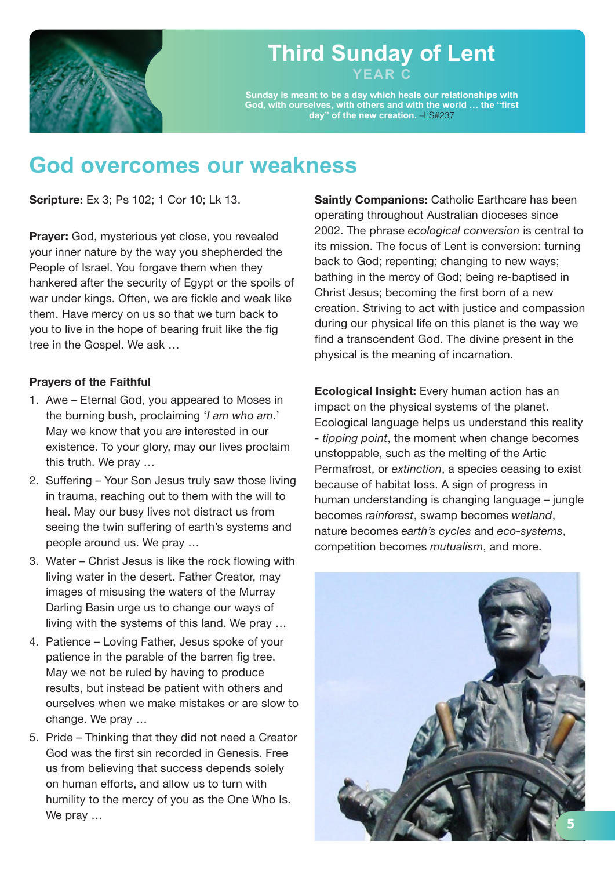

#### **YEAR C Third Sunday of Lent**

**Sunday is meant to be a day which heals our relationships with God, with ourselves, with others and with the world … the "first day" of the new creation.** –LS#237

### **God overcomes our weakness**

**Scripture:** Ex 3; Ps 102; 1 Cor 10; Lk 13.

**Prayer:** God, mysterious yet close, you revealed your inner nature by the way you shepherded the People of Israel. You forgave them when they hankered after the security of Egypt or the spoils of war under kings. Often, we are fickle and weak like them. Have mercy on us so that we turn back to you to live in the hope of bearing fruit like the fig tree in the Gospel. We ask …

#### **Prayers of the Faithful**

- 1. Awe Eternal God, you appeared to Moses in the burning bush, proclaiming '*I am who am*.' May we know that you are interested in our existence. To your glory, may our lives proclaim this truth. We pray …
- 2. Suffering Your Son Jesus truly saw those living in trauma, reaching out to them with the will to heal. May our busy lives not distract us from seeing the twin suffering of earth's systems and people around us. We pray …
- 3. Water Christ Jesus is like the rock flowing with living water in the desert. Father Creator, may images of misusing the waters of the Murray Darling Basin urge us to change our ways of living with the systems of this land. We pray …
- 4. Patience Loving Father, Jesus spoke of your patience in the parable of the barren fig tree. May we not be ruled by having to produce results, but instead be patient with others and ourselves when we make mistakes or are slow to change. We pray …
- 5. Pride Thinking that they did not need a Creator God was the first sin recorded in Genesis. Free us from believing that success depends solely on human efforts, and allow us to turn with humility to the mercy of you as the One Who Is. We pray …

**Saintly Companions:** Catholic Earthcare has been operating throughout Australian dioceses since 2002. The phrase *ecological conversion* is central to its mission. The focus of Lent is conversion: turning back to God; repenting; changing to new ways; bathing in the mercy of God; being re-baptised in Christ Jesus; becoming the first born of a new creation. Striving to act with justice and compassion during our physical life on this planet is the way we find a transcendent God. The divine present in the physical is the meaning of incarnation.

**Ecological Insight:** Every human action has an impact on the physical systems of the planet. Ecological language helps us understand this reality - *tipping point*, the moment when change becomes unstoppable, such as the melting of the Artic Permafrost, or *extinction*, a species ceasing to exist because of habitat loss. A sign of progress in human understanding is changing language – jungle becomes *rainforest*, swamp becomes *wetland*, nature becomes *earth's cycles* and *eco-systems*, competition becomes *mutualism*, and more.

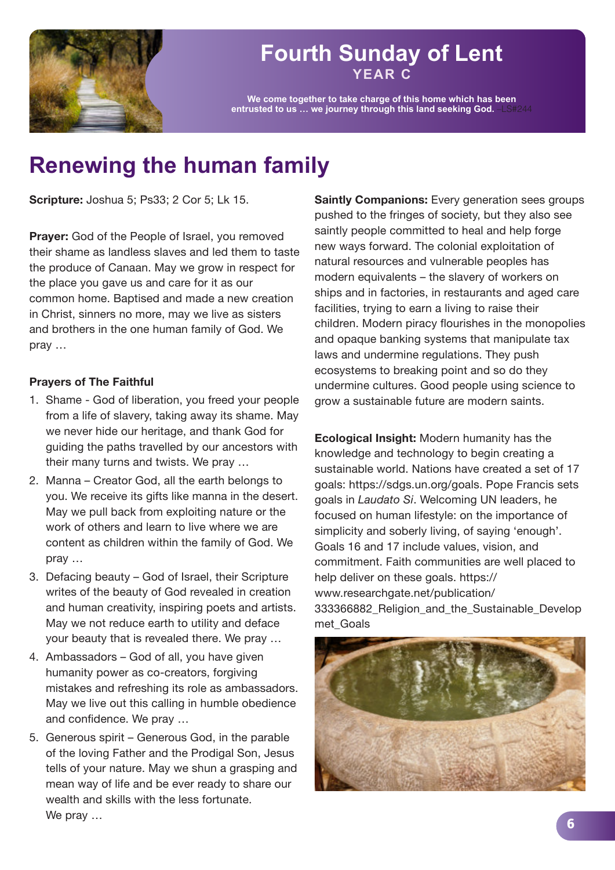

#### **YEAR C Fourth Sunday of Lent**

**We come together to take charge of this home which has been entrusted to us … we journey through this land seeking God.** –LS#244

## **Renewing the human family**

**Scripture:** Joshua 5; Ps33; 2 Cor 5; Lk 15.

**Prayer:** God of the People of Israel, you removed their shame as landless slaves and led them to taste the produce of Canaan. May we grow in respect for the place you gave us and care for it as our common home. Baptised and made a new creation in Christ, sinners no more, may we live as sisters and brothers in the one human family of God. We pray …

#### **Prayers of The Faithful**

- 1. Shame God of liberation, you freed your people from a life of slavery, taking away its shame. May we never hide our heritage, and thank God for guiding the paths travelled by our ancestors with their many turns and twists. We pray …
- 2. Manna Creator God, all the earth belongs to you. We receive its gifts like manna in the desert. May we pull back from exploiting nature or the work of others and learn to live where we are content as children within the family of God. We pray …
- 3. Defacing beauty God of Israel, their Scripture writes of the beauty of God revealed in creation and human creativity, inspiring poets and artists. May we not reduce earth to utility and deface your beauty that is revealed there. We pray …
- 4. Ambassadors God of all, you have given humanity power as co-creators, forgiving mistakes and refreshing its role as ambassadors. May we live out this calling in humble obedience and confidence. We pray …
- 5. Generous spirit Generous God, in the parable of the loving Father and the Prodigal Son, Jesus tells of your nature. May we shun a grasping and mean way of life and be ever ready to share our wealth and skills with the less fortunate. We pray …

**Saintly Companions:** Every generation sees groups pushed to the fringes of society, but they also see saintly people committed to heal and help forge new ways forward. The colonial exploitation of natural resources and vulnerable peoples has modern equivalents – the slavery of workers on ships and in factories, in restaurants and aged care facilities, trying to earn a living to raise their children. Modern piracy flourishes in the monopolies and opaque banking systems that manipulate tax laws and undermine regulations. They push ecosystems to breaking point and so do they undermine cultures. Good people using science to grow a sustainable future are modern saints.

**Ecological Insight:** Modern humanity has the knowledge and technology to begin creating a sustainable world. Nations have created a set of 17 goals: https://sdgs.un.org/goals. Pope Francis sets goals in *Laudato Si*. Welcoming UN leaders, he focused on human lifestyle: on the importance of simplicity and soberly living, of saying 'enough'. Goals 16 and 17 include values, vision, and commitment. Faith communities are well placed to help deliver on these goals. https:// www.researchgate.net/publication/ 333366882 Religion and the Sustainable Develop met\_Goals